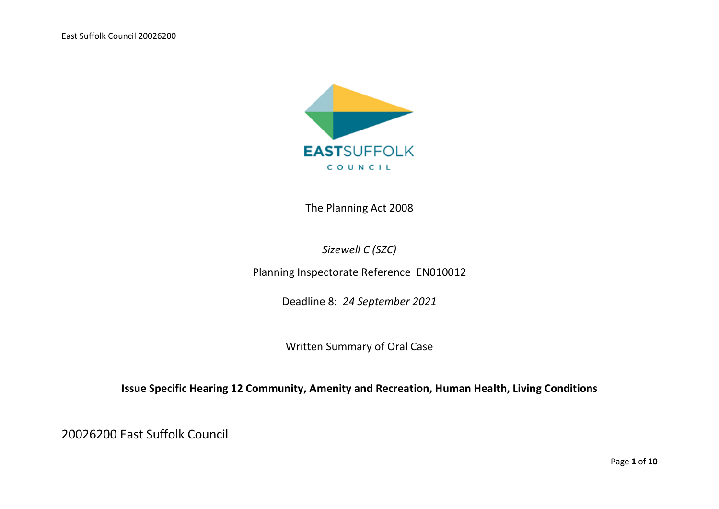

The Planning Act 2008

*Sizewell C (SZC)*

Planning Inspectorate Reference EN010012

Deadline 8: *24 September 2021*

Written Summary of Oral Case

**Issue Specific Hearing 12 Community, Amenity and Recreation, Human Health, Living Conditions**

20026200 East Suffolk Council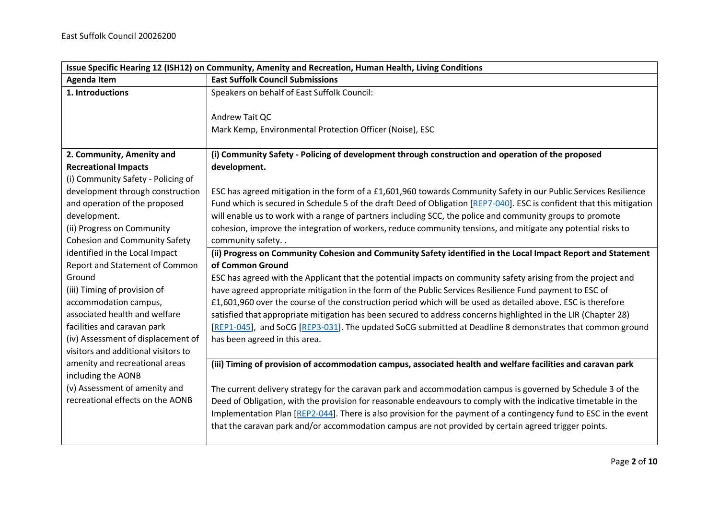| Issue Specific Hearing 12 (ISH12) on Community, Amenity and Recreation, Human Health, Living Conditions |                                                                                                                       |
|---------------------------------------------------------------------------------------------------------|-----------------------------------------------------------------------------------------------------------------------|
| <b>Agenda Item</b>                                                                                      | <b>East Suffolk Council Submissions</b>                                                                               |
| 1. Introductions                                                                                        | Speakers on behalf of East Suffolk Council:                                                                           |
|                                                                                                         |                                                                                                                       |
|                                                                                                         | Andrew Tait QC                                                                                                        |
|                                                                                                         | Mark Kemp, Environmental Protection Officer (Noise), ESC                                                              |
|                                                                                                         |                                                                                                                       |
| 2. Community, Amenity and                                                                               | (i) Community Safety - Policing of development through construction and operation of the proposed                     |
| <b>Recreational Impacts</b>                                                                             | development.                                                                                                          |
| (i) Community Safety - Policing of                                                                      |                                                                                                                       |
| development through construction                                                                        | ESC has agreed mitigation in the form of a £1,601,960 towards Community Safety in our Public Services Resilience      |
| and operation of the proposed                                                                           | Fund which is secured in Schedule 5 of the draft Deed of Obligation [REP7-040]. ESC is confident that this mitigation |
| development.                                                                                            | will enable us to work with a range of partners including SCC, the police and community groups to promote             |
| (ii) Progress on Community                                                                              | cohesion, improve the integration of workers, reduce community tensions, and mitigate any potential risks to          |
| <b>Cohesion and Community Safety</b>                                                                    | community safety. .                                                                                                   |
| identified in the Local Impact                                                                          | (ii) Progress on Community Cohesion and Community Safety identified in the Local Impact Report and Statement          |
| Report and Statement of Common                                                                          | of Common Ground                                                                                                      |
| Ground                                                                                                  | ESC has agreed with the Applicant that the potential impacts on community safety arising from the project and         |
| (iii) Timing of provision of                                                                            | have agreed appropriate mitigation in the form of the Public Services Resilience Fund payment to ESC of               |
| accommodation campus,                                                                                   | £1,601,960 over the course of the construction period which will be used as detailed above. ESC is therefore          |
| associated health and welfare                                                                           | satisfied that appropriate mitigation has been secured to address concerns highlighted in the LIR (Chapter 28)        |
| facilities and caravan park                                                                             | [REP1-045], and SoCG [REP3-031]. The updated SoCG submitted at Deadline 8 demonstrates that common ground             |
| (iv) Assessment of displacement of                                                                      | has been agreed in this area.                                                                                         |
| visitors and additional visitors to                                                                     |                                                                                                                       |
| amenity and recreational areas                                                                          | (iii) Timing of provision of accommodation campus, associated health and welfare facilities and caravan park          |
| including the AONB                                                                                      |                                                                                                                       |
| (v) Assessment of amenity and                                                                           | The current delivery strategy for the caravan park and accommodation campus is governed by Schedule 3 of the          |
| recreational effects on the AONB                                                                        | Deed of Obligation, with the provision for reasonable endeavours to comply with the indicative timetable in the       |
|                                                                                                         | Implementation Plan [REP2-044]. There is also provision for the payment of a contingency fund to ESC in the event     |
|                                                                                                         | that the caravan park and/or accommodation campus are not provided by certain agreed trigger points.                  |
|                                                                                                         |                                                                                                                       |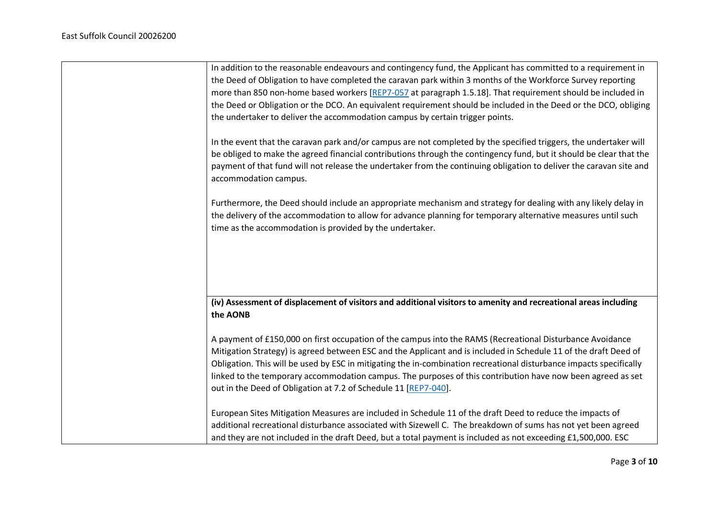| In addition to the reasonable endeavours and contingency fund, the Applicant has committed to a requirement in<br>the Deed of Obligation to have completed the caravan park within 3 months of the Workforce Survey reporting                                                                                                                                                                                                                                                                                                          |
|----------------------------------------------------------------------------------------------------------------------------------------------------------------------------------------------------------------------------------------------------------------------------------------------------------------------------------------------------------------------------------------------------------------------------------------------------------------------------------------------------------------------------------------|
| more than 850 non-home based workers [REP7-057 at paragraph 1.5.18]. That requirement should be included in                                                                                                                                                                                                                                                                                                                                                                                                                            |
| the Deed or Obligation or the DCO. An equivalent requirement should be included in the Deed or the DCO, obliging                                                                                                                                                                                                                                                                                                                                                                                                                       |
| the undertaker to deliver the accommodation campus by certain trigger points.                                                                                                                                                                                                                                                                                                                                                                                                                                                          |
| In the event that the caravan park and/or campus are not completed by the specified triggers, the undertaker will<br>be obliged to make the agreed financial contributions through the contingency fund, but it should be clear that the<br>payment of that fund will not release the undertaker from the continuing obligation to deliver the caravan site and<br>accommodation campus.                                                                                                                                               |
| Furthermore, the Deed should include an appropriate mechanism and strategy for dealing with any likely delay in<br>the delivery of the accommodation to allow for advance planning for temporary alternative measures until such<br>time as the accommodation is provided by the undertaker.                                                                                                                                                                                                                                           |
|                                                                                                                                                                                                                                                                                                                                                                                                                                                                                                                                        |
| (iv) Assessment of displacement of visitors and additional visitors to amenity and recreational areas including<br>the AONB                                                                                                                                                                                                                                                                                                                                                                                                            |
| A payment of £150,000 on first occupation of the campus into the RAMS (Recreational Disturbance Avoidance<br>Mitigation Strategy) is agreed between ESC and the Applicant and is included in Schedule 11 of the draft Deed of<br>Obligation. This will be used by ESC in mitigating the in-combination recreational disturbance impacts specifically<br>linked to the temporary accommodation campus. The purposes of this contribution have now been agreed as set<br>out in the Deed of Obligation at 7.2 of Schedule 11 [REP7-040]. |
| European Sites Mitigation Measures are included in Schedule 11 of the draft Deed to reduce the impacts of<br>additional recreational disturbance associated with Sizewell C. The breakdown of sums has not yet been agreed<br>and they are not included in the draft Deed, but a total payment is included as not exceeding £1,500,000. ESC                                                                                                                                                                                            |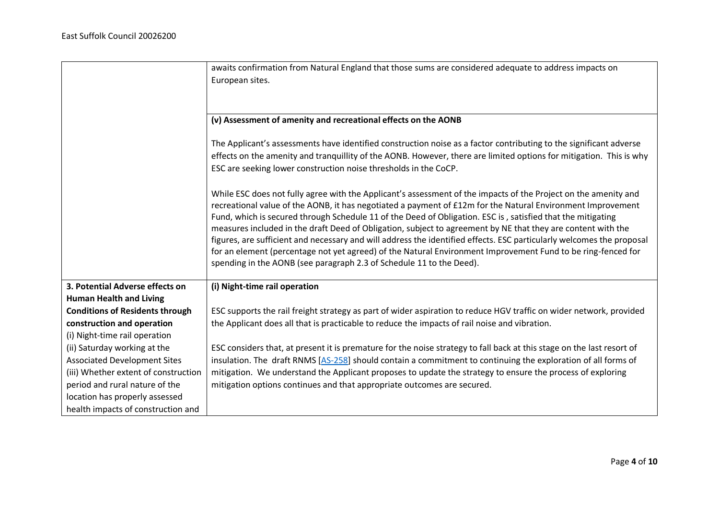|                                        | awaits confirmation from Natural England that those sums are considered adequate to address impacts on                                                                                                                     |
|----------------------------------------|----------------------------------------------------------------------------------------------------------------------------------------------------------------------------------------------------------------------------|
|                                        | European sites.                                                                                                                                                                                                            |
|                                        |                                                                                                                                                                                                                            |
|                                        | (v) Assessment of amenity and recreational effects on the AONB                                                                                                                                                             |
|                                        |                                                                                                                                                                                                                            |
|                                        | The Applicant's assessments have identified construction noise as a factor contributing to the significant adverse                                                                                                         |
|                                        | effects on the amenity and tranquillity of the AONB. However, there are limited options for mitigation. This is why                                                                                                        |
|                                        | ESC are seeking lower construction noise thresholds in the CoCP.                                                                                                                                                           |
|                                        |                                                                                                                                                                                                                            |
|                                        | While ESC does not fully agree with the Applicant's assessment of the impacts of the Project on the amenity and                                                                                                            |
|                                        | recreational value of the AONB, it has negotiated a payment of £12m for the Natural Environment Improvement<br>Fund, which is secured through Schedule 11 of the Deed of Obligation. ESC is, satisfied that the mitigating |
|                                        | measures included in the draft Deed of Obligation, subject to agreement by NE that they are content with the                                                                                                               |
|                                        | figures, are sufficient and necessary and will address the identified effects. ESC particularly welcomes the proposal                                                                                                      |
|                                        | for an element (percentage not yet agreed) of the Natural Environment Improvement Fund to be ring-fenced for                                                                                                               |
|                                        | spending in the AONB (see paragraph 2.3 of Schedule 11 to the Deed).                                                                                                                                                       |
| 3. Potential Adverse effects on        | (i) Night-time rail operation                                                                                                                                                                                              |
| <b>Human Health and Living</b>         |                                                                                                                                                                                                                            |
| <b>Conditions of Residents through</b> | ESC supports the rail freight strategy as part of wider aspiration to reduce HGV traffic on wider network, provided                                                                                                        |
| construction and operation             | the Applicant does all that is practicable to reduce the impacts of rail noise and vibration.                                                                                                                              |
| (i) Night-time rail operation          |                                                                                                                                                                                                                            |
| (ii) Saturday working at the           | ESC considers that, at present it is premature for the noise strategy to fall back at this stage on the last resort of                                                                                                     |
| <b>Associated Development Sites</b>    | insulation. The draft RNMS [AS-258] should contain a commitment to continuing the exploration of all forms of                                                                                                              |
| (iii) Whether extent of construction   | mitigation. We understand the Applicant proposes to update the strategy to ensure the process of exploring                                                                                                                 |
| period and rural nature of the         | mitigation options continues and that appropriate outcomes are secured.                                                                                                                                                    |
| location has properly assessed         |                                                                                                                                                                                                                            |
| health impacts of construction and     |                                                                                                                                                                                                                            |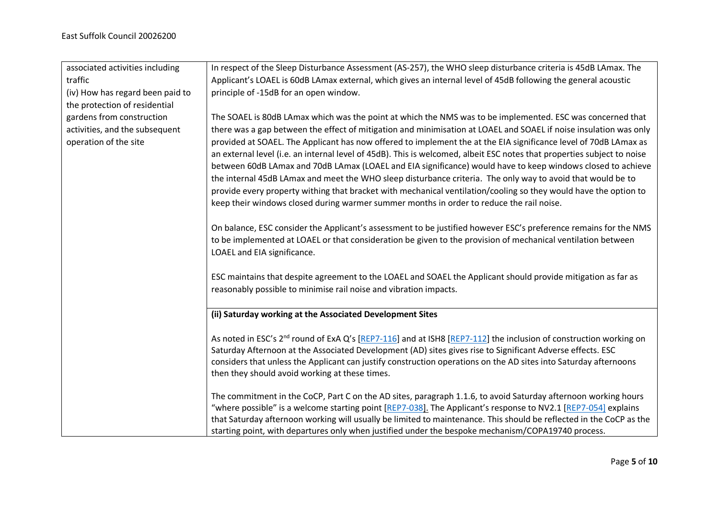| associated activities including  | In respect of the Sleep Disturbance Assessment (AS-257), the WHO sleep disturbance criteria is 45dB LAmax. The                |
|----------------------------------|-------------------------------------------------------------------------------------------------------------------------------|
| traffic                          | Applicant's LOAEL is 60dB LAmax external, which gives an internal level of 45dB following the general acoustic                |
| (iv) How has regard been paid to | principle of -15dB for an open window.                                                                                        |
| the protection of residential    |                                                                                                                               |
| gardens from construction        | The SOAEL is 80dB LAmax which was the point at which the NMS was to be implemented. ESC was concerned that                    |
| activities, and the subsequent   | there was a gap between the effect of mitigation and minimisation at LOAEL and SOAEL if noise insulation was only             |
| operation of the site            | provided at SOAEL. The Applicant has now offered to implement the at the EIA significance level of 70dB LAmax as              |
|                                  | an external level (i.e. an internal level of 45dB). This is welcomed, albeit ESC notes that properties subject to noise       |
|                                  | between 60dB LAmax and 70dB LAmax (LOAEL and EIA significance) would have to keep windows closed to achieve                   |
|                                  | the internal 45dB LAmax and meet the WHO sleep disturbance criteria. The only way to avoid that would be to                   |
|                                  | provide every property withing that bracket with mechanical ventilation/cooling so they would have the option to              |
|                                  | keep their windows closed during warmer summer months in order to reduce the rail noise.                                      |
|                                  |                                                                                                                               |
|                                  | On balance, ESC consider the Applicant's assessment to be justified however ESC's preference remains for the NMS              |
|                                  | to be implemented at LOAEL or that consideration be given to the provision of mechanical ventilation between                  |
|                                  | LOAEL and EIA significance.                                                                                                   |
|                                  |                                                                                                                               |
|                                  | ESC maintains that despite agreement to the LOAEL and SOAEL the Applicant should provide mitigation as far as                 |
|                                  | reasonably possible to minimise rail noise and vibration impacts.                                                             |
|                                  |                                                                                                                               |
|                                  | (ii) Saturday working at the Associated Development Sites                                                                     |
|                                  | As noted in ESC's 2 <sup>nd</sup> round of ExA Q's [REP7-116] and at ISH8 [REP7-112] the inclusion of construction working on |
|                                  | Saturday Afternoon at the Associated Development (AD) sites gives rise to Significant Adverse effects. ESC                    |
|                                  | considers that unless the Applicant can justify construction operations on the AD sites into Saturday afternoons              |
|                                  | then they should avoid working at these times.                                                                                |
|                                  |                                                                                                                               |
|                                  | The commitment in the CoCP, Part C on the AD sites, paragraph 1.1.6, to avoid Saturday afternoon working hours                |
|                                  | "where possible" is a welcome starting point [REP7-038]. The Applicant's response to NV2.1 [REP7-054] explains                |
|                                  | that Saturday afternoon working will usually be limited to maintenance. This should be reflected in the CoCP as the           |
|                                  | starting point, with departures only when justified under the bespoke mechanism/COPA19740 process.                            |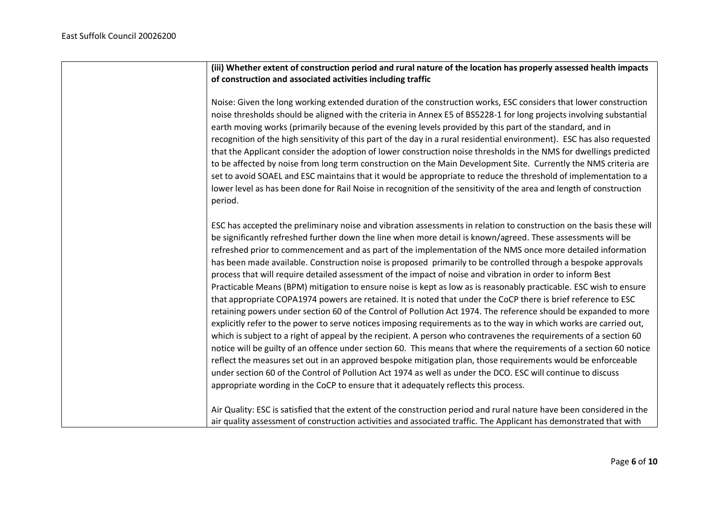**(iii) Whether extent of construction period and rural nature of the location has properly assessed health impacts of construction and associated activities including traffic**

Noise: Given the long working extended duration of the construction works, ESC considers that lower construction noise thresholds should be aligned with the criteria in Annex E5 of BS5228-1 for long projects involving substantial earth moving works (primarily because of the evening levels provided by this part of the standard, and in recognition of the high sensitivity of this part of the day in a rural residential environment). ESC has also requested that the Applicant consider the adoption of lower construction noise thresholds in the NMS for dwellings predicted to be affected by noise from long term construction on the Main Development Site. Currently the NMS criteria are set to avoid SOAEL and ESC maintains that it would be appropriate to reduce the threshold of implementation to a lower level as has been done for Rail Noise in recognition of the sensitivity of the area and length of construction period.

ESC has accepted the preliminary noise and vibration assessments in relation to construction on the basis these will be significantly refreshed further down the line when more detail is known/agreed. These assessments will be refreshed prior to commencement and as part of the implementation of the NMS once more detailed information has been made available. Construction noise is proposed primarily to be controlled through a bespoke approvals process that will require detailed assessment of the impact of noise and vibration in order to inform Best Practicable Means (BPM) mitigation to ensure noise is kept as low as is reasonably practicable. ESC wish to ensure that appropriate COPA1974 powers are retained. It is noted that under the CoCP there is brief reference to ESC retaining powers under section 60 of the Control of Pollution Act 1974. The reference should be expanded to more explicitly refer to the power to serve notices imposing requirements as to the way in which works are carried out, which is subject to a right of appeal by the recipient. A person who contravenes the requirements of a section 60 notice will be guilty of an offence under section 60. This means that where the requirements of a section 60 notice reflect the measures set out in an approved bespoke mitigation plan, those requirements would be enforceable under section 60 of the Control of Pollution Act 1974 as well as under the DCO. ESC will continue to discuss appropriate wording in the CoCP to ensure that it adequately reflects this process.

Air Quality: ESC is satisfied that the extent of the construction period and rural nature have been considered in the air quality assessment of construction activities and associated traffic. The Applicant has demonstrated that with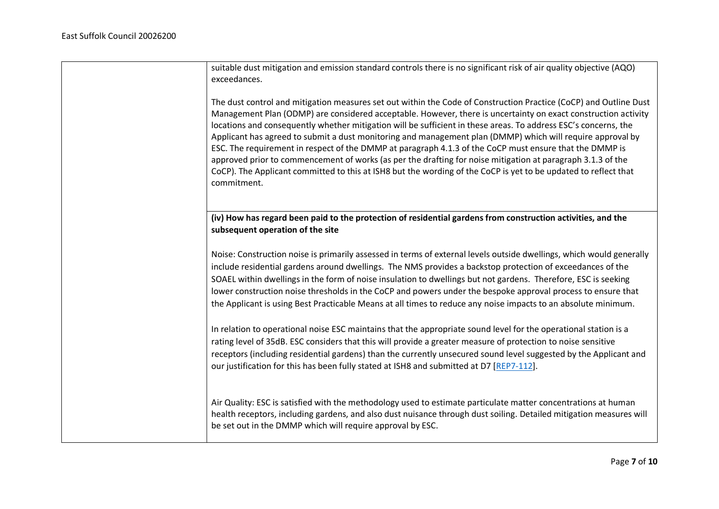| suitable dust mitigation and emission standard controls there is no significant risk of air quality objective (AQO)<br>exceedances.                                                                                                                                                                                                                                                                                                                                                                                                                                                                                                                                                                                                                                                                                              |
|----------------------------------------------------------------------------------------------------------------------------------------------------------------------------------------------------------------------------------------------------------------------------------------------------------------------------------------------------------------------------------------------------------------------------------------------------------------------------------------------------------------------------------------------------------------------------------------------------------------------------------------------------------------------------------------------------------------------------------------------------------------------------------------------------------------------------------|
| The dust control and mitigation measures set out within the Code of Construction Practice (CoCP) and Outline Dust<br>Management Plan (ODMP) are considered acceptable. However, there is uncertainty on exact construction activity<br>locations and consequently whether mitigation will be sufficient in these areas. To address ESC's concerns, the<br>Applicant has agreed to submit a dust monitoring and management plan (DMMP) which will require approval by<br>ESC. The requirement in respect of the DMMP at paragraph 4.1.3 of the CoCP must ensure that the DMMP is<br>approved prior to commencement of works (as per the drafting for noise mitigation at paragraph 3.1.3 of the<br>CoCP). The Applicant committed to this at ISH8 but the wording of the CoCP is yet to be updated to reflect that<br>commitment. |
| (iv) How has regard been paid to the protection of residential gardens from construction activities, and the<br>subsequent operation of the site                                                                                                                                                                                                                                                                                                                                                                                                                                                                                                                                                                                                                                                                                 |
| Noise: Construction noise is primarily assessed in terms of external levels outside dwellings, which would generally<br>include residential gardens around dwellings. The NMS provides a backstop protection of exceedances of the<br>SOAEL within dwellings in the form of noise insulation to dwellings but not gardens. Therefore, ESC is seeking<br>lower construction noise thresholds in the CoCP and powers under the bespoke approval process to ensure that<br>the Applicant is using Best Practicable Means at all times to reduce any noise impacts to an absolute minimum.                                                                                                                                                                                                                                           |
| In relation to operational noise ESC maintains that the appropriate sound level for the operational station is a<br>rating level of 35dB. ESC considers that this will provide a greater measure of protection to noise sensitive<br>receptors (including residential gardens) than the currently unsecured sound level suggested by the Applicant and<br>our justification for this has been fully stated at ISH8 and submitted at D7 [REP7-112].                                                                                                                                                                                                                                                                                                                                                                               |
| Air Quality: ESC is satisfied with the methodology used to estimate particulate matter concentrations at human<br>health receptors, including gardens, and also dust nuisance through dust soiling. Detailed mitigation measures will<br>be set out in the DMMP which will require approval by ESC.                                                                                                                                                                                                                                                                                                                                                                                                                                                                                                                              |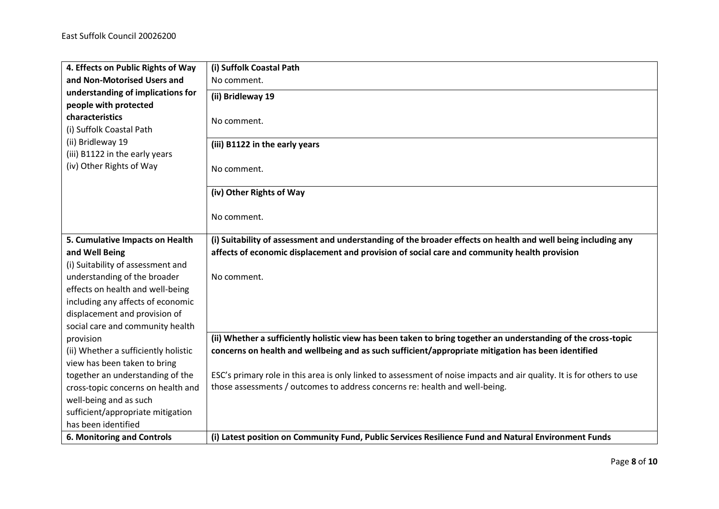| 4. Effects on Public Rights of Way                         | (i) Suffolk Coastal Path                                                                                               |
|------------------------------------------------------------|------------------------------------------------------------------------------------------------------------------------|
| and Non-Motorised Users and                                | No comment.                                                                                                            |
| understanding of implications for<br>people with protected | (ii) Bridleway 19                                                                                                      |
| characteristics                                            |                                                                                                                        |
| (i) Suffolk Coastal Path                                   | No comment.                                                                                                            |
| (ii) Bridleway 19                                          |                                                                                                                        |
| (iii) B1122 in the early years                             | (iii) B1122 in the early years                                                                                         |
| (iv) Other Rights of Way                                   |                                                                                                                        |
|                                                            | No comment.                                                                                                            |
|                                                            | (iv) Other Rights of Way                                                                                               |
|                                                            |                                                                                                                        |
|                                                            | No comment.                                                                                                            |
| 5. Cumulative Impacts on Health                            | (i) Suitability of assessment and understanding of the broader effects on health and well being including any          |
| and Well Being                                             | affects of economic displacement and provision of social care and community health provision                           |
| (i) Suitability of assessment and                          |                                                                                                                        |
| understanding of the broader                               | No comment.                                                                                                            |
| effects on health and well-being                           |                                                                                                                        |
| including any affects of economic                          |                                                                                                                        |
| displacement and provision of                              |                                                                                                                        |
| social care and community health                           |                                                                                                                        |
| provision                                                  | (ii) Whether a sufficiently holistic view has been taken to bring together an understanding of the cross-topic         |
| (ii) Whether a sufficiently holistic                       | concerns on health and wellbeing and as such sufficient/appropriate mitigation has been identified                     |
| view has been taken to bring                               |                                                                                                                        |
| together an understanding of the                           | ESC's primary role in this area is only linked to assessment of noise impacts and air quality. It is for others to use |
| cross-topic concerns on health and                         | those assessments / outcomes to address concerns re: health and well-being.                                            |
| well-being and as such                                     |                                                                                                                        |
| sufficient/appropriate mitigation                          |                                                                                                                        |
| has been identified                                        |                                                                                                                        |
| 6. Monitoring and Controls                                 | (i) Latest position on Community Fund, Public Services Resilience Fund and Natural Environment Funds                   |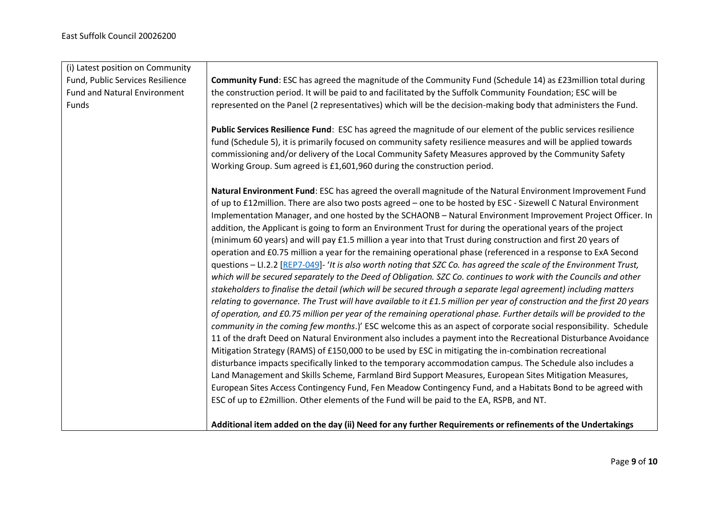| Community Fund: ESC has agreed the magnitude of the Community Fund (Schedule 14) as £23 million total during<br>Fund, Public Services Resilience<br>the construction period. It will be paid to and facilitated by the Suffolk Community Foundation; ESC will be<br><b>Fund and Natural Environment</b><br>represented on the Panel (2 representatives) which will be the decision-making body that administers the Fund.<br>Funds<br>Public Services Resilience Fund: ESC has agreed the magnitude of our element of the public services resilience<br>fund (Schedule 5), it is primarily focused on community safety resilience measures and will be applied towards<br>commissioning and/or delivery of the Local Community Safety Measures approved by the Community Safety<br>Working Group. Sum agreed is £1,601,960 during the construction period.<br>Natural Environment Fund: ESC has agreed the overall magnitude of the Natural Environment Improvement Fund<br>of up to £12million. There are also two posts agreed - one to be hosted by ESC - Sizewell C Natural Environment<br>Implementation Manager, and one hosted by the SCHAONB - Natural Environment Improvement Project Officer. In<br>addition, the Applicant is going to form an Environment Trust for during the operational years of the project<br>(minimum 60 years) and will pay £1.5 million a year into that Trust during construction and first 20 years of<br>operation and £0.75 million a year for the remaining operational phase (referenced in a response to ExA Second<br>questions - LI.2.2 [REP7-049]- 'It is also worth noting that SZC Co. has agreed the scale of the Environment Trust,<br>which will be secured separately to the Deed of Obligation. SZC Co. continues to work with the Councils and other<br>stakeholders to finalise the detail (which will be secured through a separate legal agreement) including matters<br>relating to governance. The Trust will have available to it £1.5 million per year of construction and the first 20 years<br>of operation, and £0.75 million per year of the remaining operational phase. Further details will be provided to the<br>community in the coming few months.)' ESC welcome this as an aspect of corporate social responsibility. Schedule<br>11 of the draft Deed on Natural Environment also includes a payment into the Recreational Disturbance Avoidance<br>Mitigation Strategy (RAMS) of £150,000 to be used by ESC in mitigating the in-combination recreational<br>disturbance impacts specifically linked to the temporary accommodation campus. The Schedule also includes a<br>Land Management and Skills Scheme, Farmland Bird Support Measures, European Sites Mitigation Measures, |
|--------------------------------------------------------------------------------------------------------------------------------------------------------------------------------------------------------------------------------------------------------------------------------------------------------------------------------------------------------------------------------------------------------------------------------------------------------------------------------------------------------------------------------------------------------------------------------------------------------------------------------------------------------------------------------------------------------------------------------------------------------------------------------------------------------------------------------------------------------------------------------------------------------------------------------------------------------------------------------------------------------------------------------------------------------------------------------------------------------------------------------------------------------------------------------------------------------------------------------------------------------------------------------------------------------------------------------------------------------------------------------------------------------------------------------------------------------------------------------------------------------------------------------------------------------------------------------------------------------------------------------------------------------------------------------------------------------------------------------------------------------------------------------------------------------------------------------------------------------------------------------------------------------------------------------------------------------------------------------------------------------------------------------------------------------------------------------------------------------------------------------------------------------------------------------------------------------------------------------------------------------------------------------------------------------------------------------------------------------------------------------------------------------------------------------------------------------------------------------------------------------------------------------------------------------------------------------------------------------------------------------------------------------------------------------------------------------------------------------------------------------------|
|                                                                                                                                                                                                                                                                                                                                                                                                                                                                                                                                                                                                                                                                                                                                                                                                                                                                                                                                                                                                                                                                                                                                                                                                                                                                                                                                                                                                                                                                                                                                                                                                                                                                                                                                                                                                                                                                                                                                                                                                                                                                                                                                                                                                                                                                                                                                                                                                                                                                                                                                                                                                                                                                                                                                                              |
|                                                                                                                                                                                                                                                                                                                                                                                                                                                                                                                                                                                                                                                                                                                                                                                                                                                                                                                                                                                                                                                                                                                                                                                                                                                                                                                                                                                                                                                                                                                                                                                                                                                                                                                                                                                                                                                                                                                                                                                                                                                                                                                                                                                                                                                                                                                                                                                                                                                                                                                                                                                                                                                                                                                                                              |
|                                                                                                                                                                                                                                                                                                                                                                                                                                                                                                                                                                                                                                                                                                                                                                                                                                                                                                                                                                                                                                                                                                                                                                                                                                                                                                                                                                                                                                                                                                                                                                                                                                                                                                                                                                                                                                                                                                                                                                                                                                                                                                                                                                                                                                                                                                                                                                                                                                                                                                                                                                                                                                                                                                                                                              |
|                                                                                                                                                                                                                                                                                                                                                                                                                                                                                                                                                                                                                                                                                                                                                                                                                                                                                                                                                                                                                                                                                                                                                                                                                                                                                                                                                                                                                                                                                                                                                                                                                                                                                                                                                                                                                                                                                                                                                                                                                                                                                                                                                                                                                                                                                                                                                                                                                                                                                                                                                                                                                                                                                                                                                              |
|                                                                                                                                                                                                                                                                                                                                                                                                                                                                                                                                                                                                                                                                                                                                                                                                                                                                                                                                                                                                                                                                                                                                                                                                                                                                                                                                                                                                                                                                                                                                                                                                                                                                                                                                                                                                                                                                                                                                                                                                                                                                                                                                                                                                                                                                                                                                                                                                                                                                                                                                                                                                                                                                                                                                                              |
|                                                                                                                                                                                                                                                                                                                                                                                                                                                                                                                                                                                                                                                                                                                                                                                                                                                                                                                                                                                                                                                                                                                                                                                                                                                                                                                                                                                                                                                                                                                                                                                                                                                                                                                                                                                                                                                                                                                                                                                                                                                                                                                                                                                                                                                                                                                                                                                                                                                                                                                                                                                                                                                                                                                                                              |
|                                                                                                                                                                                                                                                                                                                                                                                                                                                                                                                                                                                                                                                                                                                                                                                                                                                                                                                                                                                                                                                                                                                                                                                                                                                                                                                                                                                                                                                                                                                                                                                                                                                                                                                                                                                                                                                                                                                                                                                                                                                                                                                                                                                                                                                                                                                                                                                                                                                                                                                                                                                                                                                                                                                                                              |
|                                                                                                                                                                                                                                                                                                                                                                                                                                                                                                                                                                                                                                                                                                                                                                                                                                                                                                                                                                                                                                                                                                                                                                                                                                                                                                                                                                                                                                                                                                                                                                                                                                                                                                                                                                                                                                                                                                                                                                                                                                                                                                                                                                                                                                                                                                                                                                                                                                                                                                                                                                                                                                                                                                                                                              |
|                                                                                                                                                                                                                                                                                                                                                                                                                                                                                                                                                                                                                                                                                                                                                                                                                                                                                                                                                                                                                                                                                                                                                                                                                                                                                                                                                                                                                                                                                                                                                                                                                                                                                                                                                                                                                                                                                                                                                                                                                                                                                                                                                                                                                                                                                                                                                                                                                                                                                                                                                                                                                                                                                                                                                              |
|                                                                                                                                                                                                                                                                                                                                                                                                                                                                                                                                                                                                                                                                                                                                                                                                                                                                                                                                                                                                                                                                                                                                                                                                                                                                                                                                                                                                                                                                                                                                                                                                                                                                                                                                                                                                                                                                                                                                                                                                                                                                                                                                                                                                                                                                                                                                                                                                                                                                                                                                                                                                                                                                                                                                                              |
|                                                                                                                                                                                                                                                                                                                                                                                                                                                                                                                                                                                                                                                                                                                                                                                                                                                                                                                                                                                                                                                                                                                                                                                                                                                                                                                                                                                                                                                                                                                                                                                                                                                                                                                                                                                                                                                                                                                                                                                                                                                                                                                                                                                                                                                                                                                                                                                                                                                                                                                                                                                                                                                                                                                                                              |
|                                                                                                                                                                                                                                                                                                                                                                                                                                                                                                                                                                                                                                                                                                                                                                                                                                                                                                                                                                                                                                                                                                                                                                                                                                                                                                                                                                                                                                                                                                                                                                                                                                                                                                                                                                                                                                                                                                                                                                                                                                                                                                                                                                                                                                                                                                                                                                                                                                                                                                                                                                                                                                                                                                                                                              |
|                                                                                                                                                                                                                                                                                                                                                                                                                                                                                                                                                                                                                                                                                                                                                                                                                                                                                                                                                                                                                                                                                                                                                                                                                                                                                                                                                                                                                                                                                                                                                                                                                                                                                                                                                                                                                                                                                                                                                                                                                                                                                                                                                                                                                                                                                                                                                                                                                                                                                                                                                                                                                                                                                                                                                              |
|                                                                                                                                                                                                                                                                                                                                                                                                                                                                                                                                                                                                                                                                                                                                                                                                                                                                                                                                                                                                                                                                                                                                                                                                                                                                                                                                                                                                                                                                                                                                                                                                                                                                                                                                                                                                                                                                                                                                                                                                                                                                                                                                                                                                                                                                                                                                                                                                                                                                                                                                                                                                                                                                                                                                                              |
|                                                                                                                                                                                                                                                                                                                                                                                                                                                                                                                                                                                                                                                                                                                                                                                                                                                                                                                                                                                                                                                                                                                                                                                                                                                                                                                                                                                                                                                                                                                                                                                                                                                                                                                                                                                                                                                                                                                                                                                                                                                                                                                                                                                                                                                                                                                                                                                                                                                                                                                                                                                                                                                                                                                                                              |
|                                                                                                                                                                                                                                                                                                                                                                                                                                                                                                                                                                                                                                                                                                                                                                                                                                                                                                                                                                                                                                                                                                                                                                                                                                                                                                                                                                                                                                                                                                                                                                                                                                                                                                                                                                                                                                                                                                                                                                                                                                                                                                                                                                                                                                                                                                                                                                                                                                                                                                                                                                                                                                                                                                                                                              |
|                                                                                                                                                                                                                                                                                                                                                                                                                                                                                                                                                                                                                                                                                                                                                                                                                                                                                                                                                                                                                                                                                                                                                                                                                                                                                                                                                                                                                                                                                                                                                                                                                                                                                                                                                                                                                                                                                                                                                                                                                                                                                                                                                                                                                                                                                                                                                                                                                                                                                                                                                                                                                                                                                                                                                              |
|                                                                                                                                                                                                                                                                                                                                                                                                                                                                                                                                                                                                                                                                                                                                                                                                                                                                                                                                                                                                                                                                                                                                                                                                                                                                                                                                                                                                                                                                                                                                                                                                                                                                                                                                                                                                                                                                                                                                                                                                                                                                                                                                                                                                                                                                                                                                                                                                                                                                                                                                                                                                                                                                                                                                                              |
|                                                                                                                                                                                                                                                                                                                                                                                                                                                                                                                                                                                                                                                                                                                                                                                                                                                                                                                                                                                                                                                                                                                                                                                                                                                                                                                                                                                                                                                                                                                                                                                                                                                                                                                                                                                                                                                                                                                                                                                                                                                                                                                                                                                                                                                                                                                                                                                                                                                                                                                                                                                                                                                                                                                                                              |
|                                                                                                                                                                                                                                                                                                                                                                                                                                                                                                                                                                                                                                                                                                                                                                                                                                                                                                                                                                                                                                                                                                                                                                                                                                                                                                                                                                                                                                                                                                                                                                                                                                                                                                                                                                                                                                                                                                                                                                                                                                                                                                                                                                                                                                                                                                                                                                                                                                                                                                                                                                                                                                                                                                                                                              |
|                                                                                                                                                                                                                                                                                                                                                                                                                                                                                                                                                                                                                                                                                                                                                                                                                                                                                                                                                                                                                                                                                                                                                                                                                                                                                                                                                                                                                                                                                                                                                                                                                                                                                                                                                                                                                                                                                                                                                                                                                                                                                                                                                                                                                                                                                                                                                                                                                                                                                                                                                                                                                                                                                                                                                              |
|                                                                                                                                                                                                                                                                                                                                                                                                                                                                                                                                                                                                                                                                                                                                                                                                                                                                                                                                                                                                                                                                                                                                                                                                                                                                                                                                                                                                                                                                                                                                                                                                                                                                                                                                                                                                                                                                                                                                                                                                                                                                                                                                                                                                                                                                                                                                                                                                                                                                                                                                                                                                                                                                                                                                                              |
|                                                                                                                                                                                                                                                                                                                                                                                                                                                                                                                                                                                                                                                                                                                                                                                                                                                                                                                                                                                                                                                                                                                                                                                                                                                                                                                                                                                                                                                                                                                                                                                                                                                                                                                                                                                                                                                                                                                                                                                                                                                                                                                                                                                                                                                                                                                                                                                                                                                                                                                                                                                                                                                                                                                                                              |
|                                                                                                                                                                                                                                                                                                                                                                                                                                                                                                                                                                                                                                                                                                                                                                                                                                                                                                                                                                                                                                                                                                                                                                                                                                                                                                                                                                                                                                                                                                                                                                                                                                                                                                                                                                                                                                                                                                                                                                                                                                                                                                                                                                                                                                                                                                                                                                                                                                                                                                                                                                                                                                                                                                                                                              |
| European Sites Access Contingency Fund, Fen Meadow Contingency Fund, and a Habitats Bond to be agreed with                                                                                                                                                                                                                                                                                                                                                                                                                                                                                                                                                                                                                                                                                                                                                                                                                                                                                                                                                                                                                                                                                                                                                                                                                                                                                                                                                                                                                                                                                                                                                                                                                                                                                                                                                                                                                                                                                                                                                                                                                                                                                                                                                                                                                                                                                                                                                                                                                                                                                                                                                                                                                                                   |
| ESC of up to £2million. Other elements of the Fund will be paid to the EA, RSPB, and NT.                                                                                                                                                                                                                                                                                                                                                                                                                                                                                                                                                                                                                                                                                                                                                                                                                                                                                                                                                                                                                                                                                                                                                                                                                                                                                                                                                                                                                                                                                                                                                                                                                                                                                                                                                                                                                                                                                                                                                                                                                                                                                                                                                                                                                                                                                                                                                                                                                                                                                                                                                                                                                                                                     |
| Additional item added on the day (ii) Need for any further Requirements or refinements of the Undertakings                                                                                                                                                                                                                                                                                                                                                                                                                                                                                                                                                                                                                                                                                                                                                                                                                                                                                                                                                                                                                                                                                                                                                                                                                                                                                                                                                                                                                                                                                                                                                                                                                                                                                                                                                                                                                                                                                                                                                                                                                                                                                                                                                                                                                                                                                                                                                                                                                                                                                                                                                                                                                                                   |